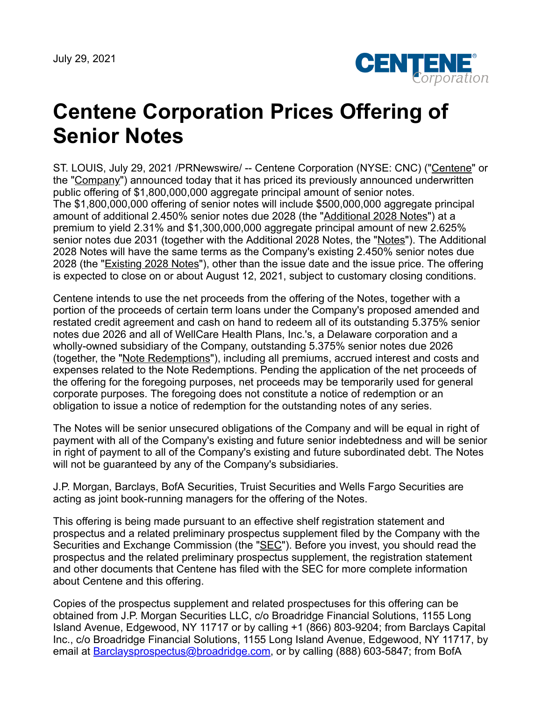July 29, 2021



## **Centene Corporation Prices Offering of Senior Notes**

ST. LOUIS, July 29, 2021 /PRNewswire/ -- Centene Corporation (NYSE: CNC) ("Centene" or the "Company") announced today that it has priced its previously announced underwritten public offering of \$1,800,000,000 aggregate principal amount of senior notes. The \$1,800,000,000 offering of senior notes will include \$500,000,000 aggregate principal amount of additional 2.450% senior notes due 2028 (the "Additional 2028 Notes") at a premium to yield 2.31% and \$1,300,000,000 aggregate principal amount of new 2.625% senior notes due 2031 (together with the Additional 2028 Notes, the "Notes"). The Additional 2028 Notes will have the same terms as the Company's existing 2.450% senior notes due 2028 (the "Existing 2028 Notes"), other than the issue date and the issue price. The offering is expected to close on or about August 12, 2021, subject to customary closing conditions.

Centene intends to use the net proceeds from the offering of the Notes, together with a portion of the proceeds of certain term loans under the Company's proposed amended and restated credit agreement and cash on hand to redeem all of its outstanding 5.375% senior notes due 2026 and all of WellCare Health Plans, Inc.'s, a Delaware corporation and a wholly-owned subsidiary of the Company, outstanding 5.375% senior notes due 2026 (together, the "Note Redemptions"), including all premiums, accrued interest and costs and expenses related to the Note Redemptions. Pending the application of the net proceeds of the offering for the foregoing purposes, net proceeds may be temporarily used for general corporate purposes. The foregoing does not constitute a notice of redemption or an obligation to issue a notice of redemption for the outstanding notes of any series.

The Notes will be senior unsecured obligations of the Company and will be equal in right of payment with all of the Company's existing and future senior indebtedness and will be senior in right of payment to all of the Company's existing and future subordinated debt. The Notes will not be guaranteed by any of the Company's subsidiaries.

J.P. Morgan, Barclays, BofA Securities, Truist Securities and Wells Fargo Securities are acting as joint book-running managers for the offering of the Notes.

This offering is being made pursuant to an effective shelf registration statement and prospectus and a related preliminary prospectus supplement filed by the Company with the Securities and Exchange Commission (the "SEC"). Before you invest, you should read the prospectus and the related preliminary prospectus supplement, the registration statement and other documents that Centene has filed with the SEC for more complete information about Centene and this offering.

Copies of the prospectus supplement and related prospectuses for this offering can be obtained from J.P. Morgan Securities LLC, c/o Broadridge Financial Solutions, 1155 Long Island Avenue, Edgewood, NY 11717 or by calling +1 (866) 803-9204; from Barclays Capital Inc., c/o Broadridge Financial Solutions, 1155 Long Island Avenue, Edgewood, NY 11717, by email at **Barclaysprospectus@broadridge.com**, or by calling (888) 603-5847; from BofA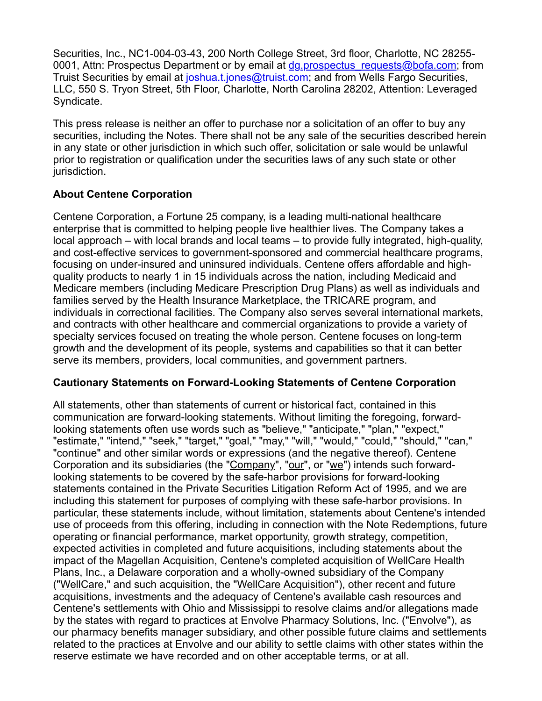Securities, Inc., NC1-004-03-43, 200 North College Street, 3rd floor, Charlotte, NC 28255 0001, Attn: Prospectus Department or by email at [dg.prospectus\\_requests@bofa.com;](mailto:dg.prospectus_requests@bofa.com) from Truist Securities by email at *joshua.t.jones@truist.com*; and from Wells Fargo Securities, LLC, 550 S. Tryon Street, 5th Floor, Charlotte, North Carolina 28202, Attention: Leveraged Syndicate.

This press release is neither an offer to purchase nor a solicitation of an offer to buy any securities, including the Notes. There shall not be any sale of the securities described herein in any state or other jurisdiction in which such offer, solicitation or sale would be unlawful prior to registration or qualification under the securities laws of any such state or other jurisdiction.

## **About Centene Corporation**

Centene Corporation, a Fortune 25 company, is a leading multi-national healthcare enterprise that is committed to helping people live healthier lives. The Company takes a local approach – with local brands and local teams – to provide fully integrated, high-quality, and cost-effective services to government-sponsored and commercial healthcare programs, focusing on under-insured and uninsured individuals. Centene offers affordable and highquality products to nearly 1 in 15 individuals across the nation, including Medicaid and Medicare members (including Medicare Prescription Drug Plans) as well as individuals and families served by the Health Insurance Marketplace, the TRICARE program, and individuals in correctional facilities. The Company also serves several international markets, and contracts with other healthcare and commercial organizations to provide a variety of specialty services focused on treating the whole person. Centene focuses on long-term growth and the development of its people, systems and capabilities so that it can better serve its members, providers, local communities, and government partners.

## **Cautionary Statements on Forward-Looking Statements of Centene Corporation**

All statements, other than statements of current or historical fact, contained in this communication are forward-looking statements. Without limiting the foregoing, forwardlooking statements often use words such as "believe," "anticipate," "plan," "expect," "estimate," "intend," "seek," "target," "goal," "may," "will," "would," "could," "should," "can," "continue" and other similar words or expressions (and the negative thereof). Centene Corporation and its subsidiaries (the "Company", "our", or "we") intends such forwardlooking statements to be covered by the safe-harbor provisions for forward-looking statements contained in the Private Securities Litigation Reform Act of 1995, and we are including this statement for purposes of complying with these safe-harbor provisions. In particular, these statements include, without limitation, statements about Centene's intended use of proceeds from this offering, including in connection with the Note Redemptions, future operating or financial performance, market opportunity, growth strategy, competition, expected activities in completed and future acquisitions, including statements about the impact of the Magellan Acquisition, Centene's completed acquisition of WellCare Health Plans, Inc., a Delaware corporation and a wholly-owned subsidiary of the Company ("WellCare," and such acquisition, the "WellCare Acquisition"), other recent and future acquisitions, investments and the adequacy of Centene's available cash resources and Centene's settlements with Ohio and Mississippi to resolve claims and/or allegations made by the states with regard to practices at Envolve Pharmacy Solutions, Inc. ("Envolve"), as our pharmacy benefits manager subsidiary, and other possible future claims and settlements related to the practices at Envolve and our ability to settle claims with other states within the reserve estimate we have recorded and on other acceptable terms, or at all.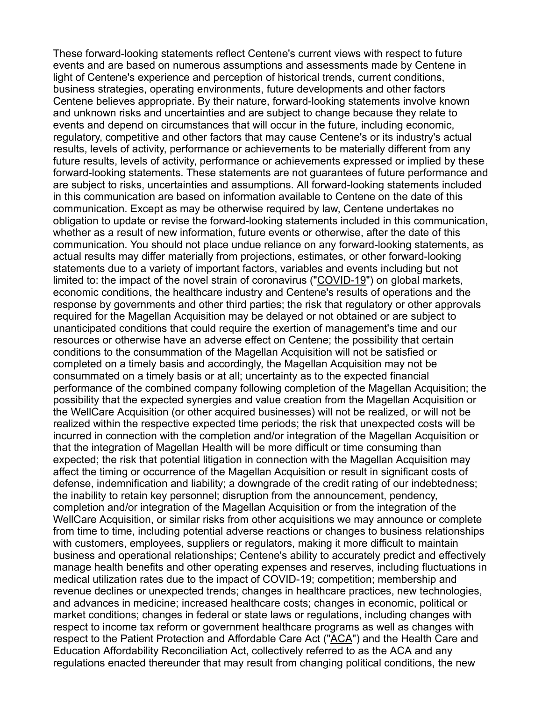These forward-looking statements reflect Centene's current views with respect to future events and are based on numerous assumptions and assessments made by Centene in light of Centene's experience and perception of historical trends, current conditions, business strategies, operating environments, future developments and other factors Centene believes appropriate. By their nature, forward-looking statements involve known and unknown risks and uncertainties and are subject to change because they relate to events and depend on circumstances that will occur in the future, including economic, regulatory, competitive and other factors that may cause Centene's or its industry's actual results, levels of activity, performance or achievements to be materially different from any future results, levels of activity, performance or achievements expressed or implied by these forward-looking statements. These statements are not guarantees of future performance and are subject to risks, uncertainties and assumptions. All forward-looking statements included in this communication are based on information available to Centene on the date of this communication. Except as may be otherwise required by law, Centene undertakes no obligation to update or revise the forward-looking statements included in this communication, whether as a result of new information, future events or otherwise, after the date of this communication. You should not place undue reliance on any forward-looking statements, as actual results may differ materially from projections, estimates, or other forward-looking statements due to a variety of important factors, variables and events including but not limited to: the impact of the novel strain of coronavirus ("COVID-19") on global markets, economic conditions, the healthcare industry and Centene's results of operations and the response by governments and other third parties; the risk that regulatory or other approvals required for the Magellan Acquisition may be delayed or not obtained or are subject to unanticipated conditions that could require the exertion of management's time and our resources or otherwise have an adverse effect on Centene; the possibility that certain conditions to the consummation of the Magellan Acquisition will not be satisfied or completed on a timely basis and accordingly, the Magellan Acquisition may not be consummated on a timely basis or at all; uncertainty as to the expected financial performance of the combined company following completion of the Magellan Acquisition; the possibility that the expected synergies and value creation from the Magellan Acquisition or the WellCare Acquisition (or other acquired businesses) will not be realized, or will not be realized within the respective expected time periods; the risk that unexpected costs will be incurred in connection with the completion and/or integration of the Magellan Acquisition or that the integration of Magellan Health will be more difficult or time consuming than expected; the risk that potential litigation in connection with the Magellan Acquisition may affect the timing or occurrence of the Magellan Acquisition or result in significant costs of defense, indemnification and liability; a downgrade of the credit rating of our indebtedness; the inability to retain key personnel; disruption from the announcement, pendency, completion and/or integration of the Magellan Acquisition or from the integration of the WellCare Acquisition, or similar risks from other acquisitions we may announce or complete from time to time, including potential adverse reactions or changes to business relationships with customers, employees, suppliers or regulators, making it more difficult to maintain business and operational relationships; Centene's ability to accurately predict and effectively manage health benefits and other operating expenses and reserves, including fluctuations in medical utilization rates due to the impact of COVID-19; competition; membership and revenue declines or unexpected trends; changes in healthcare practices, new technologies, and advances in medicine; increased healthcare costs; changes in economic, political or market conditions; changes in federal or state laws or regulations, including changes with respect to income tax reform or government healthcare programs as well as changes with respect to the Patient Protection and Affordable Care Act ("ACA") and the Health Care and Education Affordability Reconciliation Act, collectively referred to as the ACA and any regulations enacted thereunder that may result from changing political conditions, the new